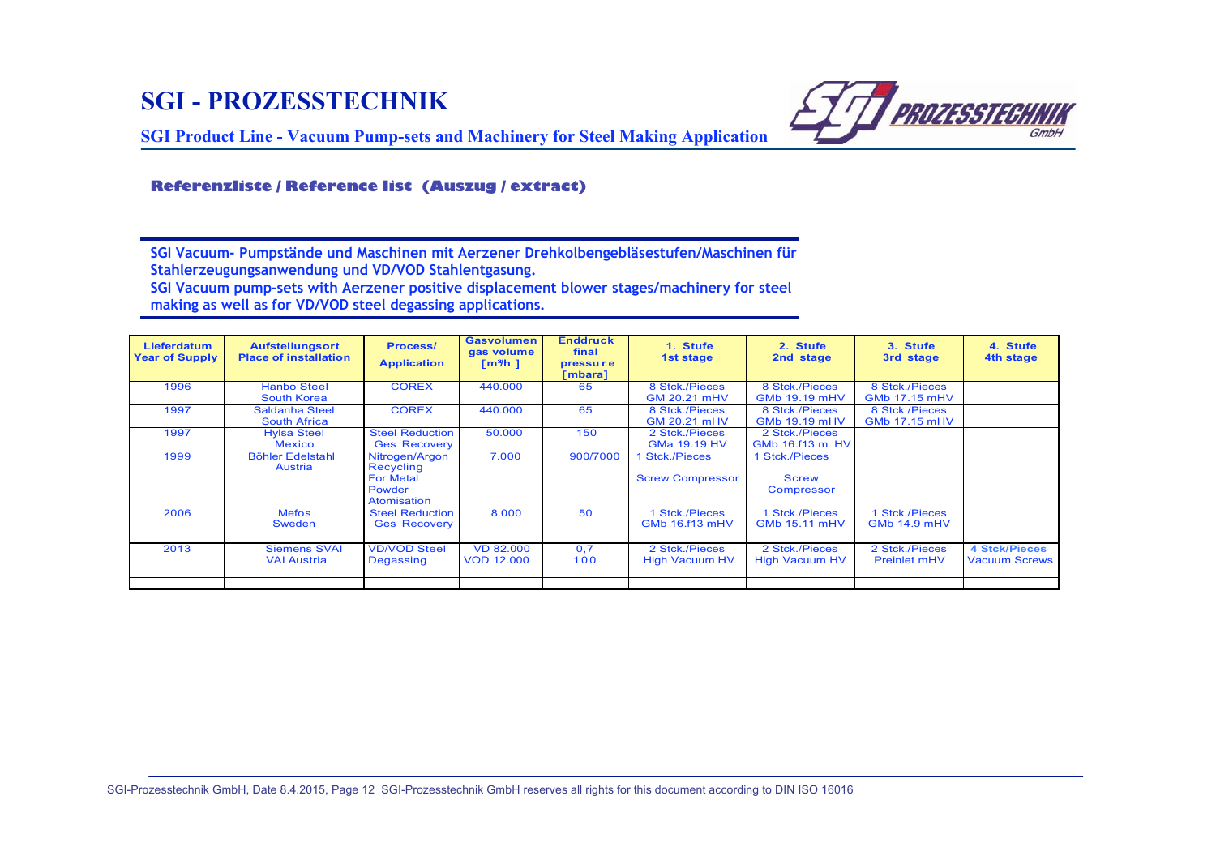## **SGI - PROZESSTECHNIK**



**SGI Product Line - Vacuum Pump-sets and Machinery for Steel Making Application**

## **Referenzliste / Reference list (Auszug / extract)**

**SGI Vacuum- Pumpstände und Maschinen mit Aerzener Drehkolbengebläsestufen/Maschinen für Stahlerzeugungsanwendung und VD/VOD Stahlentgasung.**

**SGI Vacuum pump-sets with Aerzener positive displacement blower stages/machinery for steel making as well as for VD/VOD steel degassing applications.**

| <b>Lieferdatum</b><br><b>Year of Supply</b> | <b>Aufstellungsort</b><br><b>Place of installation</b> | <b>Process/</b><br><b>Application</b>                                    | <b>Gasvolumen</b><br>gas volume<br>$\lceil m^3/h \rceil$ | <b>Enddruck</b><br>final<br><b>pressure</b><br>[mbara] | 1. Stufe<br>1st stage                        | 2. Stufe<br>2nd stage                      | 3. Stufe<br>3rd stage                  | 4. Stufe<br>4th stage                        |
|---------------------------------------------|--------------------------------------------------------|--------------------------------------------------------------------------|----------------------------------------------------------|--------------------------------------------------------|----------------------------------------------|--------------------------------------------|----------------------------------------|----------------------------------------------|
| 1996                                        | <b>Hanbo Steel</b><br>South Korea                      | <b>COREX</b>                                                             | 440.000                                                  | 65                                                     | 8 Stck./Pieces<br><b>GM 20.21 mHV</b>        | 8 Stck./Pieces<br><b>GMb 19.19 mHV</b>     | 8 Stck./Pieces<br><b>GMb 17.15 mHV</b> |                                              |
| 1997                                        | Saldanha Steel<br><b>South Africa</b>                  | <b>COREX</b>                                                             | 440.000                                                  | 65                                                     | 8 Stck./Pieces<br>GM 20.21 mHV               | 8 Stck./Pieces<br>GMb 19.19 mHV            |                                        |                                              |
| 1997                                        | <b>Hylsa Steel</b><br><b>Mexico</b>                    | <b>Steel Reduction</b><br><b>Ges Recovery</b>                            | 50,000                                                   | 150                                                    | 2 Stck./Pieces<br>GMa 19.19 HV               | 2 Stck./Pieces<br>GMb 16.f13 m HV          |                                        |                                              |
| 1999                                        | <b>Böhler Edelstahl</b><br>Austria                     | Nitrogen/Argon<br>Recycling<br><b>For Metal</b><br>Powder<br>Atomisation | 7.000                                                    | 900/7000                                               | 1 Stck./Pieces<br><b>Screw Compressor</b>    | Stck./Pieces<br><b>Screw</b><br>Compressor |                                        |                                              |
| 2006                                        | <b>Mefos</b><br><b>Sweden</b>                          | <b>Steel Reduction</b><br><b>Ges Recovery</b>                            | 8.000                                                    | 50                                                     | <b>Stck./Pieces</b><br><b>GMb 16.f13 mHV</b> | 1 Stck./Pieces<br><b>GMb 15.11 mHV</b>     | 1 Stck./Pieces<br><b>GMb 14.9 mHV</b>  |                                              |
| 2013                                        | <b>Siemens SVAI</b><br><b>VAI Austria</b>              | <b>VD/VOD Steel</b><br>Degassing                                         | <b>VD 82,000</b><br><b>VOD 12,000</b>                    | 0.7<br>100                                             | 2 Stck./Pieces<br><b>High Vacuum HV</b>      | 2 Stck./Pieces<br><b>High Vacuum HV</b>    | 2 Stck./Pieces<br><b>Preinlet mHV</b>  | <b>4 Stck/Pieces</b><br><b>Vacuum Screws</b> |